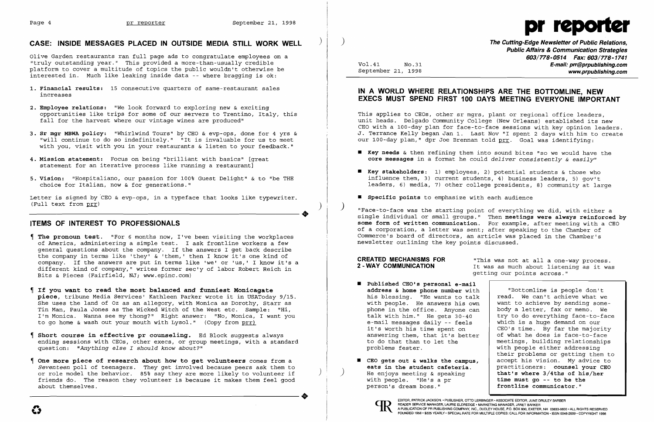

# **CASE: INSIDE MESSAGES PLACED IN OUTSIDE MEDIA STILL WORK WELL** )

Olive Garden restaurants ran full page ads to congratulate employees on a "truly outstanding year." This provided a more-than-usually credible platform to cover a multitude of topics the public wouldn't otherwise be interested in. Much like leaking inside data -- where bragging is ok:

- **1. Financial results:** 15 consecutive quarters of same-restaurant sales increases
- **2. Employee relations:** "We look forward to exploring new & exciting opportunities like trips for some of our servers to Trentino, Italy, this fall for the harvest where our vintage wines are produced"
- **3. Sr mgr MBNA policy:** "Whirlwind Tours" by CEO & evp-ops, done for 4 yrs & "will continue to do so indefinitely." "It is invaluable for us to meet with you, visit with you in your restaurants & listen to your feedback."
- **4. Mission statement:** Focus on being "brilliant with basics" [great statement for an iterative process like running a restaurant]
- **5. Vision:** "Hospitaliano, our passion for 100% Guest Delight" & to "be THE choice for Italian, now & for generations."

Letter is signed by 'CEO & evp-ops, in a typeface that looks like typewriter. ----------------------+ (Full text from prr) )

## **ITEMS OF INTEREST TO PROFESSIONALS**

This applies to CEOs, other sr mgrs, plant or regional office leaders, unit heads. Delgado Community College (New Orleans) established its new CEO with a 100-day plan for face-to-face sessions with key opinion leaders. J. Terrance Kelly began Jan 1. Last Nov "I spent 2 days with him to create our 100-day plan," dpr Joe Brennan told prr. Goal was identifying:

influence them, 3) current students, 4) business leaders, 5) gov't leaders, 6) media, 7) other college presidents, 8) community at large

- **The pronoun test.** "For 6 months now, I've been visiting the workplaces of America, administering a simple test. I ask frontline workers a few general questions about the company. If the answers I get back describe the company in terms like 'they' & 'them,' then I know it's one kind of company. If the answers are put in terms like 'we' or 'us,' I know it's a different kind of company," writes former sec'y of labor Robert Reich in Bits & Pieces (Fairfield, NJ; www.epinc.com)
- **If you want to read the most balanced** *and* **funniest Monicagate piece,** tribune Media Services' Kathleen Parker wrote it in USAToday 9/15. .<br>She uses the land of Oz as an allegory, with Monica as Dorothy, Starr as Tin Man, Paula Jones as The Wicked Witch of the West etc. Sample: "Hi, I'm Monica. Wanna see my thong?" Right answer: "No, Monica, I want you to go home  $\&$  wash out your mouth with Lysol." (Copy from  $prr$ )
- **Short course in effective pr counseling.** Ed Block suggests always ending sessions with CEOs, other execs, or group meetings, with a standard question: *"Anything* else *I should know about?"*
- **One more piece of research about how to get volunteers** comes from a *Seventeen* poll of teenagers. They get involved because peers ask them to or role model the behavior. 85% say they are more likely to volunteer if of fole model the behavior. So, say they are more likely to volunteer if<br>friends do. The reason they volunteer is because it makes them feel good<br>about themselves. about themselves.

"Face-to-face was the starting point of everything we did, with either a single individual or small groups." Then **meetings were always reinforced by some form of written communication.** For example, after meeting with a CEO of a corporation, a letter was sent; after speaking to the Chamber of Commerce's board of directors, an article was placed in the Chamber's newsletter outlining the key points discussed.

**CREATED MECHANISMS FOR** This was not at all a one-way process.<br>2-WAY COMMUNICATION Tt was as much about listening as it was It was as much about listening as it was getting our points across."

 $\bm{c}$ 

) **The Cutting-Edge Newsletter of Public Relations, Public Affairs & Communication Strategies 603/778-0514 Fax: 603/778-1741**  Vol.41 NO.31 **E-mail: prr@prpublishing.com**  September 21, 1998 **www.prpublishing.com** 

## **IN A WORLD WHERE RELATIONSHIPS ARE THE BOTTOMLlNE, NEW EXECS MUST SPEND FIRST 100 DAYS MEETING EVERYONE IMPORTANT**

- **• Key needs** & then refining them into sound bites "so we would have the **core messages** in a format he could *deliver consistently* & *easily"*
- **• Key stakeholders:** 1) employees, 2) potential students & those who
- **• Specific points** to emphasize with each audience

- **Published CEO's personal e-mail address & home phone number** with his blessing. "He wants to talk with people. He answers his own phone in the office. Anyone can talk with him." He gets 30-40 e-mail messages daily -- feels it's worth his time spent on answering them, that it's better to do that than to let the problems fester.
- **CEO gets out & walks the campus,**  ) **eats in the student cafeteria.**  He enjoys meeting & speaking with people. "He's a pr person's dream boss."



"Bottomline is people don't read. We can't achieve what we want to achieve by sending somebody a letter, fax or memo. We try to do everything face-to-face which is a huge demand on our CEO's time. By far the majority of what he does is face-to-face meetings, building relationships with people either addressing their problems or getting them to accept his vision. My advice to practitioners: **counsel your CEO that's where 3/4ths of his/her time must go -- to be the frontline communicator."**